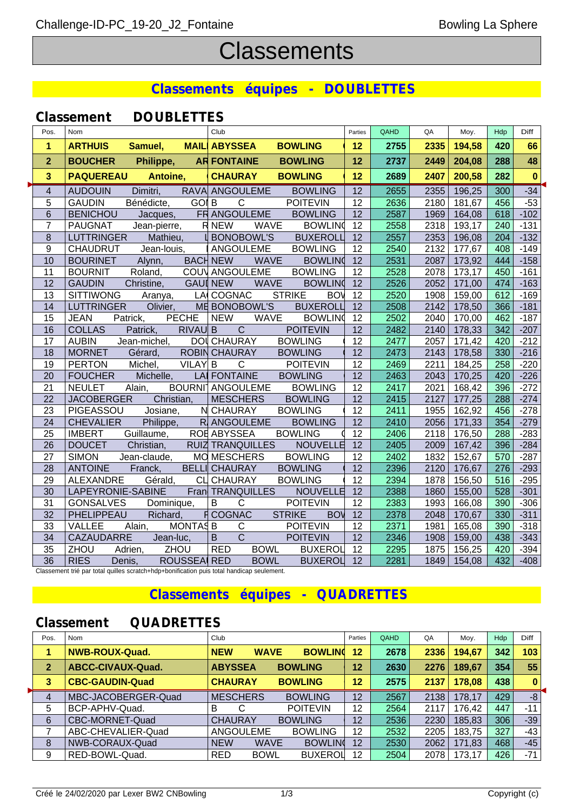# **Classements**

## **Classements équipes - DOUBLETTES**

| Pos.                    | Nom                                          | Club                                                | Parties         | QAHD | QA   | Moy.   | Hdp | Diff     |
|-------------------------|----------------------------------------------|-----------------------------------------------------|-----------------|------|------|--------|-----|----------|
| $\mathbf 1$             | <b>ARTHUIS</b><br>Samuel,                    | <b>MAIL ABYSSEA</b><br><b>BOWLING</b>               | 12              | 2755 | 2335 | 194,58 | 420 | 66       |
| $\overline{2}$          | <b>BOUCHER</b><br>Philippe,                  | AR FONTAINE<br><b>BOWLING</b>                       | 12              | 2737 | 2449 | 204,08 | 288 | 48       |
| 3                       | Antoine,<br><b>PAQUEREAU</b>                 | <b>CHAURAY</b><br><b>BOWLING</b>                    | 12              | 2689 | 2407 | 200,58 | 282 | $\bf{0}$ |
| $\overline{\mathbf{4}}$ | Dimitri,<br><b>AUDOUIN</b>                   | RAVA ANGOULEME<br><b>BOWLING</b>                    | $\overline{12}$ | 2655 | 2355 | 196,25 | 300 | $-34$    |
| 5                       | Bénédicte,<br><b>GAUDIN</b>                  | <b>GOI B</b><br>$\mathsf{C}$<br><b>POITEVIN</b>     | 12              | 2636 | 2180 | 181,67 | 456 | $-53$    |
| 6                       | <b>BENICHOU</b><br>Jacques,                  | FR ANGOULEME<br><b>BOWLING</b>                      | 12              | 2587 | 1969 | 164,08 | 618 | $-102$   |
| $\overline{7}$          | <b>PAUGNAT</b><br>Jean-pierre,               | <b>RNEW</b><br><b>WAVE</b><br><b>BOWLIN</b>         | 12              | 2558 | 2318 | 193,17 | 240 | $-131$   |
| 8                       | <b>LUTTRINGER</b><br>Mathieu,                | <b>BONOBOWL'S</b><br><b>BUXEROLL</b>                | 12              | 2557 | 2353 | 196,08 | 204 | $-132$   |
| 9                       | CHAUDRUT<br>Jean-louis,                      | <b>BOWLING</b><br>ANGOULEME                         | 12              | 2540 | 2132 | 177,67 | 408 | $-149$   |
| 10                      | <b>BOURINET</b><br>Alynn,                    | <b>BACH NEW</b><br><b>WAVE</b><br><b>BOWLING</b>    | 12              | 2531 | 2087 | 173,92 | 444 | $-158$   |
| 11                      | Roland,<br><b>BOURNIT</b>                    | COUV ANGOULEME<br><b>BOWLING</b>                    | 12              | 2528 | 2078 | 173,17 | 450 | $-161$   |
| 12                      | <b>GAUDIN</b><br>Christine,                  | <b>GAUI NEW</b><br><b>WAVE</b><br><b>BOWLIN</b>     | 12              | 2526 | 2052 | 171,00 | 474 | $-163$   |
| 13                      | <b>SITTIWONG</b><br>Aranya,                  | <b>STRIKE</b><br>LA COGNAC<br><b>BOV</b>            | $\overline{12}$ | 2520 | 1908 | 159,00 | 612 | $-169$   |
| 14                      | <b>LUTTRINGER</b><br>Olivier,                | <b>BUXEROLL</b><br>ME BONOBOWL'S                    | 12              | 2508 | 2142 | 178,50 | 366 | $-181$   |
| 15                      | <b>PECHE</b><br><b>JEAN</b><br>Patrick,      | <b>WAVE</b><br><b>BOWLIN</b><br><b>NEW</b>          | 12              | 2502 | 2040 | 170,00 | 462 | $-187$   |
| 16                      | <b>COLLAS</b><br>RIVAU B<br>Patrick,         | $\mathsf{C}$<br><b>POITEVIN</b>                     | 12              | 2482 | 2140 | 178,33 | 342 | $-207$   |
| 17                      | <b>AUBIN</b><br>Jean-michel,                 | DOI CHAURAY<br><b>BOWLING</b>                       | 12              | 2477 | 2057 | 171,42 | 420 | $-212$   |
| 18                      | <b>MORNET</b><br>Gérard,                     | ROBIN CHAURAY<br><b>BOWLING</b>                     | $\overline{12}$ | 2473 | 2143 | 178,58 | 330 | $-216$   |
| 19                      | <b>PERTON</b><br>Michel,<br><b>VILAY</b>     | $\mathsf{C}$<br>B<br><b>POITEVIN</b>                | 12              | 2469 | 2211 | 184,25 | 258 | $-220$   |
| 20                      | Michelle,<br><b>FOUCHER</b>                  | <b>LAI FONTAINE</b><br><b>BOWLING</b>               | 12              | 2463 | 2043 | 170,25 | 420 | $-226$   |
| 21                      | Alain,<br><b>NEULET</b>                      | BOURNI <sup>1</sup> ANGOULEME<br><b>BOWLING</b>     | 12              | 2417 | 2021 | 168,42 | 396 | $-272$   |
| 22                      | Christian,<br><b>JACOBERGER</b>              | <b>MESCHERS</b><br><b>BOWLING</b>                   | 12              | 2415 | 2127 | 177,25 | 288 | $-274$   |
| 23                      | PIGEASSOU<br>Josiane,                        | N CHAURAY<br><b>BOWLING</b>                         | 12              | 2411 | 1955 | 162,92 | 456 | $-278$   |
| 24                      | Philippe,<br><b>CHEVALIER</b>                | R ANGOULEME<br><b>BOWLING</b>                       | $\overline{12}$ | 2410 | 2056 | 171,33 | 354 | $-279$   |
| 25                      | Guillaume,<br><b>IMBERT</b>                  | <b>BOWLING</b><br><b>ROE ABYSSEA</b>                | 12              | 2406 | 2118 | 176,50 | 288 | $-283$   |
| 26                      | <b>DOUCET</b><br>Christian,                  | <b>NOUVELLE</b><br><b>RUIZ TRANQUILLES</b>          | 12              | 2405 | 2009 | 167,42 | 396 | $-284$   |
| 27                      | <b>SIMON</b><br>Jean-claude,                 | <b>BOWLING</b><br>MO MESCHERS                       | 12              | 2402 | 1832 | 152,67 | 570 | $-287$   |
| 28                      | <b>ANTOINE</b><br>Franck,                    | <b>BELLI CHAURAY</b><br><b>BOWLING</b>              | $\overline{12}$ | 2396 | 2120 | 176,67 | 276 | $-293$   |
| 29                      | ALEXANDRE<br>Gérald,                         | <b>CLI CHAURAY</b><br><b>BOWLING</b>                | 12              | 2394 | 1878 | 156,50 | 516 | $-295$   |
| 30                      | LAPEYRONIE-SABINE                            | Fran TRANQUILLES<br><b>NOUVELLE</b>                 | $\overline{12}$ | 2388 | 1860 | 155,00 | 528 | $-301$   |
| 31                      | <b>GONSALVES</b><br>Dominique,               | $\overline{B}$<br>$\mathsf C$<br><b>POITEVIN</b>    | 12              | 2383 | 1993 | 166,08 | 390 | $-306$   |
| 32                      | Richard,<br>PHELIPPEAU                       | <b>F</b> COGNAC<br><b>STRIKE</b><br><b>BOW</b>      | 12              | 2378 | 2048 | 170,67 | 330 | $-311$   |
| 33                      | Alain,<br>MONTAS <sub>B</sub><br>VALLEE      | $\mathsf{C}$<br><b>POITEVIN</b>                     | 12              | 2371 | 1981 | 165,08 | 390 | $-318$   |
| 34                      | Jean-luc,<br>CAZAUDARRE                      | $\overline{C}$<br>$\overline{B}$<br><b>POITEVIN</b> | 12              | 2346 | 1908 | 159,00 | 438 | $-343$   |
| 35                      | ZHOU<br>ZHOU<br>Adrien,                      | <b>RED</b><br><b>BOWL</b><br><b>BUXEROL</b>         | 12              | 2295 | 1875 | 156,25 | 420 | $-394$   |
| $\overline{36}$         | <b>RIES</b><br><b>ROUSSEAI RED</b><br>Denis, | <b>BOWL</b><br><b>BUXEROL</b>                       | 12              | 2281 | 1849 | 154,08 | 432 | $-408$   |

Classement trié par total quilles scratch+hdp+bonification puis total handicap seulement.

# **Classements équipes - QUADRETTES**

# **Classement QUADRETTES**

| Pos.         | <b>Nom</b>             | Club                      |                 | Parties | QAHD | QA   | Moy.   | Hdp | Diff     |
|--------------|------------------------|---------------------------|-----------------|---------|------|------|--------|-----|----------|
|              | <b>NWB-ROUX-Quad.</b>  | <b>NEW</b><br><b>WAVE</b> | <b>BOWLIN</b>   | 12      | 2678 | 2336 | 194,67 | 342 | 103      |
| $\mathbf{2}$ | ABCC-CIVAUX-Quad.      | <b>ABYSSEA</b>            | <b>BOWLING</b>  | 12      | 2630 | 2276 | 189,67 | 354 | 55       |
| 3            | <b>CBC-GAUDIN-Quad</b> | <b>CHAURAY</b>            | <b>BOWLING</b>  | 12      | 2575 | 2137 | 178,08 | 438 | $\bf{0}$ |
|              | MBC-JACOBERGER-Quad    | <b>MESCHERS</b>           | <b>BOWLING</b>  | 12      | 2567 | 2138 | 178,17 | 429 | $-8$     |
| 5            | BCP-APHV-Quad.         | B                         | <b>POITEVIN</b> | 12      | 2564 | 2117 | 176,42 | 447 | $-11$    |
| 6            | CBC-MORNET-Quad        | <b>CHAURAY</b>            | <b>BOWLING</b>  | 12      | 2536 | 2230 | 185,83 | 306 | $-39$    |
|              | ABC-CHEVALIER-Quad     | ANGOULEME                 | <b>BOWLING</b>  | 12      | 2532 | 2205 | 183,75 | 327 | $-43$    |
| 8            | NWB-CORAUX-Quad        | <b>NEW</b><br><b>WAVE</b> | <b>BOWLIN</b>   | 12      | 2530 | 2062 | 171,83 | 468 | $-45$    |
| 9            | RED-BOWL-Quad.         | <b>RED</b><br><b>BOWL</b> | <b>BUXEROL</b>  | 12      | 2504 | 2078 | 173.17 | 426 | $-71$    |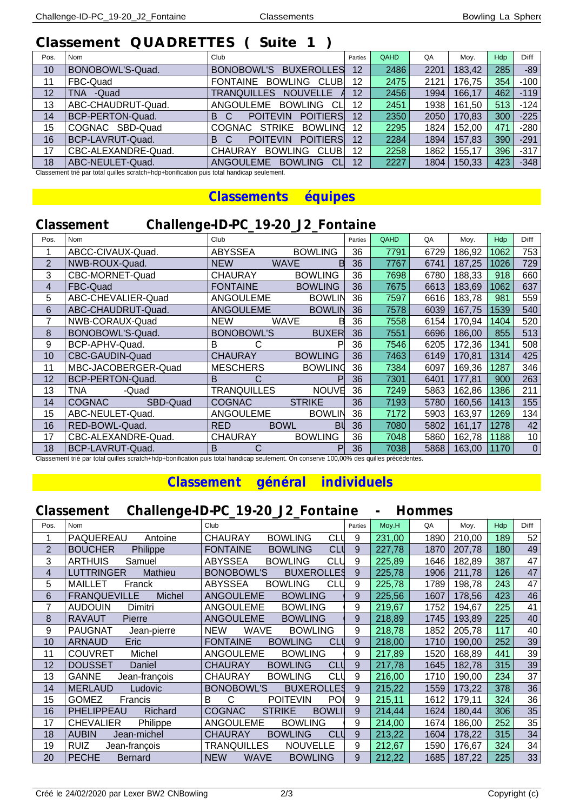# **Classement QUADRETTES ( Suite 1 )**

| Pos. | Nom                 | Club                                            | Parties | QAHD | QA   | Moy.   | Hdp | <b>Diff</b> |
|------|---------------------|-------------------------------------------------|---------|------|------|--------|-----|-------------|
| 10   | BONOBOWL'S-Quad.    | BONOBOWL'S<br><b>BUXEROLLES</b>                 | 12      | 2486 | 2201 | 183,42 | 285 | $-89$       |
| 11   | FBC-Quad            | FONTAINE BOWLING<br><b>CLUB</b>                 | 12      | 2475 | 2121 | 176,75 | 354 | $-100$      |
| 12   | TNA -Quad           | TRANQUILLES NOUVELLE                            | 12      | 2456 | 1994 | 166,17 | 462 | $-119$      |
| 13   | ABC-CHAUDRUT-Quad.  | ANGOULEME BOWLING<br>СL                         | 12      | 2451 | 1938 | 161.50 | 513 | $-124$      |
| 14   | BCP-PERTON-Quad.    | <b>POITIERS</b><br><b>POITEVIN</b><br>B.<br>- C | 12      | 2350 | 2050 | 170,83 | 300 | $-225$      |
| 15   | COGNAC SBD-Quad     | COGNAC STRIKE<br><b>BOWLING</b>                 | 12      | 2295 | 1824 | 152,00 | 471 | $-280$      |
| 16   | BCP-LAVRUT-Quad.    | <b>POITIERS</b><br><b>POITEVIN</b><br>- C<br>B  | 12      | 2284 | 1894 | 157,83 | 390 | $-291$      |
| 17   | CBC-ALEXANDRE-Quad. | <b>BOWLING</b><br><b>CHAURAY</b><br><b>CLUB</b> | 12      | 2258 | 1862 | 155,17 | 396 | $-317$      |
| 18   | ABC-NEULET-Quad.    | ANGOULEME<br><b>BOWLING</b><br><b>CL</b>        | 12      | 2227 | 1804 | 150,33 | 423 | $-348$      |

Classement trié par total quilles scratch+hdp+bonification puis total handicap seulement.

#### **Classements équipes**

# **Classement Challenge-ID-PC\_19-20\_J2\_Fontaine**

| Pos.           | Nom                       | Club                      |                  | Parties | QAHD | QA   | Moy.   | Hdp  | Diff      |
|----------------|---------------------------|---------------------------|------------------|---------|------|------|--------|------|-----------|
|                | ABCC-CIVAUX-Quad.         | <b>ABYSSEA</b>            | <b>BOWLING</b>   | 36      | 7791 | 6729 | 186,92 | 1062 | 753       |
| $\overline{2}$ | NWB-ROUX-Quad.            | <b>NEW</b><br><b>WAVE</b> | B                | 36      | 7767 | 6741 | 187,25 | 1026 | 729       |
| 3              | CBC-MORNET-Quad           | <b>CHAURAY</b>            | <b>BOWLING</b>   | 36      | 7698 | 6780 | 188,33 | 918  | 660       |
| 4              | FBC-Quad                  | <b>FONTAINE</b>           | <b>BOWLING</b>   | 36      | 7675 | 6613 | 183,69 | 1062 | 637       |
| 5              | ABC-CHEVALIER-Quad        | ANGOULEME                 | <b>BOWLIN</b>    | 36      | 7597 | 6616 | 183,78 | 981  | 559       |
| 6              | ABC-CHAUDRUT-Quad.        | <b>ANGOULEME</b>          | <b>BOWLIN</b>    | 36      | 7578 | 6039 | 167,75 | 1539 | 540       |
| 7              | NWB-CORAUX-Quad           | <b>WAVE</b><br><b>NEW</b> | в                | 36      | 7558 | 6154 | 170,94 | 1404 | 520       |
| 8              | BONOBOWL'S-Quad.          | <b>BONOBOWL'S</b>         | <b>BUXER</b>     | 36      | 7551 | 6696 | 186,00 | 855  | 513       |
| 9              | BCP-APHV-Quad.            | B                         | P                | 36      | 7546 | 6205 | 172,36 | 1341 | 508       |
| 10             | CBC-GAUDIN-Quad           | <b>CHAURAY</b>            | <b>BOWLING</b>   | 36      | 7463 | 6149 | 170,81 | 1314 | 425       |
| 11             | MBC-JACOBERGER-Quad       | <b>MESCHERS</b>           | <b>BOWLING</b>   | 36      | 7384 | 6097 | 169,36 | 1287 | 346       |
| 12             | BCP-PERTON-Quad.          | B<br>С                    | P                | 36      | 7301 | 6401 | 177,81 | 900  | 263       |
| 13             | TNA<br>-Quad              | <b>TRANQUILLES</b>        | <b>NOUVE</b>     | 36      | 7249 | 5863 | 162,86 | 1386 | 211       |
| 14             | <b>COGNAC</b><br>SBD-Quad | <b>COGNAC</b>             | <b>STRIKE</b>    | 36      | 7193 | 5780 | 160,56 | 1413 | 155       |
| 15             | ABC-NEULET-Quad.          | ANGOULEME                 | <b>BOWLIN</b>    | 36      | 7172 | 5903 | 163,97 | 1269 | 134       |
| 16             | RED-BOWL-Quad.            | <b>RED</b><br><b>BOWL</b> | BU               | 36      | 7080 | 5802 | 161,17 | 1278 | 42        |
| 17             | CBC-ALEXANDRE-Quad.       | <b>CHAURAY</b>            | <b>BOWLING</b>   | 36      | 7048 | 5860 | 162,78 | 1188 | 10        |
| 18             | BCP-LAVRUT-Quad.          | B<br>С                    | Pl<br>$\sqrt{2}$ | 36      | 7038 | 5868 | 163,00 | 1170 | $\pmb{0}$ |

Classement trié par total quilles scratch+hdp+bonification puis total handicap seulement. On conserve 100,00% des quilles précédentes.

#### **Classement général individuels**

### **Classement Challenge-ID-PC\_19-20\_J2\_Fontaine - Hommes**

| Pos. | Nom                            | Club                                            | Parties | Moy.H  | QA   | Moy.   | Hdp | <b>Diff</b>     |
|------|--------------------------------|-------------------------------------------------|---------|--------|------|--------|-----|-----------------|
|      | PAQUEREAU<br>Antoine           | <b>CHAURAY</b><br><b>BOWLING</b><br><b>CLL</b>  | 9       | 231,00 | 1890 | 210,00 | 189 | 52              |
| 2    | <b>BOUCHER</b><br>Philippe     | <b>CLU</b><br><b>FONTAINE</b><br><b>BOWLING</b> | 9       | 227,78 | 1870 | 207,78 | 180 | 49              |
| 3    | <b>ARTHUIS</b><br>Samuel       | CLI<br><b>ABYSSEA</b><br><b>BOWLING</b>         | 9       | 225,89 | 1646 | 182,89 | 387 | 47              |
| 4    | Mathieu<br>LUTTRINGER          | <b>BONOBOWL'S</b><br><b>BUXEROLLES</b>          | 9       | 225,78 | 1906 | 211,78 | 126 | 47              |
| 5    | <b>MAILLET</b><br>Franck       | <b>ABYSSEA</b><br><b>BOWLING</b><br><b>CLL</b>  | 9       | 225,78 | 1789 | 198,78 | 243 | 47              |
| 6    | <b>FRANQUEVILLE</b><br>Michel  | <b>ANGOULEME</b><br><b>BOWLING</b>              | 9       | 225,56 | 1607 | 178,56 | 423 | 46              |
| 7    | <b>AUDOUIN</b><br>Dimitri      | ANGOULEME<br><b>BOWLING</b>                     | 9       | 219,67 | 1752 | 194,67 | 225 | 41              |
| 8    | <b>RAVAUT</b><br>Pierre        | <b>ANGOULEME</b><br><b>BOWLING</b>              | 9       | 218,89 | 1745 | 193,89 | 225 | 40              |
| 9    | <b>PAUGNAT</b><br>Jean-pierre  | <b>WAVE</b><br><b>BOWLING</b><br><b>NEW</b>     | 9       | 218,78 | 1852 | 205,78 | 117 | 40              |
| 10   | <b>ARNAUD</b><br>Eric          | <b>FONTAINE</b><br><b>BOWLING</b><br><b>CLU</b> | 9       | 218,00 | 1710 | 190,00 | 252 | 39              |
| 11   | <b>COUVRET</b><br>Michel       | <b>BOWLING</b><br>ANGOULEME                     | 9       | 217,89 | 1520 | 168,89 | 441 | 39              |
| 12   | <b>DOUSSET</b><br>Daniel       | CLL<br><b>CHAURAY</b><br><b>BOWLING</b>         | 9       | 217,78 | 1645 | 182,78 | 315 | 39              |
| 13   | <b>GANNE</b><br>Jean-françois  | <b>CLL</b><br><b>CHAURAY</b><br><b>BOWLING</b>  | 9       | 216,00 | 1710 | 190,00 | 234 | $\overline{37}$ |
| 14   | <b>MERLAUD</b><br>Ludovic      | <b>BUXEROLLES</b><br><b>BONOBOWL'S</b>          | 9       | 215,22 | 1559 | 173,22 | 378 | 36              |
| 15   | <b>GOMEZ</b><br>Francis        | C<br>B<br>POI<br><b>POITEVIN</b>                | 9       | 215,11 | 1612 | 179,11 | 324 | 36              |
| 16   | Richard<br><b>PHELIPPEAU</b>   | <b>BOWLI</b><br><b>COGNAC</b><br><b>STRIKE</b>  | 9       | 214,44 | 1624 | 180,44 | 306 | 35              |
| 17   | <b>CHEVALIER</b><br>Philippe   | <b>BOWLING</b><br>ANGOULEME                     | 9       | 214,00 | 1674 | 186,00 | 252 | 35              |
| 18   | <b>AUBIN</b><br>Jean-michel    | <b>CLU</b><br><b>CHAURAY</b><br><b>BOWLING</b>  | 9       | 213,22 | 1604 | 178,22 | 315 | 34              |
| 19   | <b>RUIZ</b><br>Jean-françois   | TRANQUILLES<br><b>NOUVELLE</b>                  | 9       | 212,67 | 1590 | 176,67 | 324 | 34              |
| 20   | <b>PECHE</b><br><b>Bernard</b> | <b>NEW</b><br><b>WAVE</b><br><b>BOWLING</b>     | 9       | 212,22 | 1685 | 187,22 | 225 | 33              |